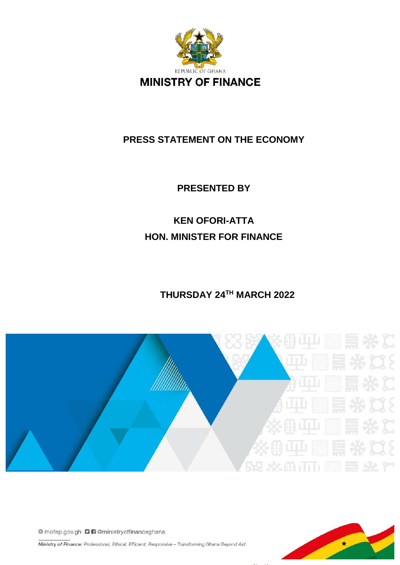

# **PRESS STATEMENT ON THE ECONOMY**

# **PRESENTED BY**

# **KEN OFORI-ATTA HON. MINISTER FOR FINANCE**

# **THURSDAY 24 TH MARCH 2022**



mofep.gov.gh **D Fi** @ministryoffinanceghana

Ministry of Finance: Professional, Ethical, Efficient, Responsive - Transforming Ghana Beyond Aid

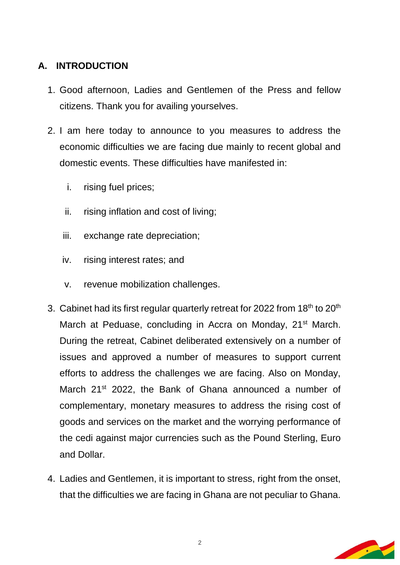# **A. INTRODUCTION**

- 1. Good afternoon, Ladies and Gentlemen of the Press and fellow citizens. Thank you for availing yourselves.
- 2. I am here today to announce to you measures to address the economic difficulties we are facing due mainly to recent global and domestic events. These difficulties have manifested in:
	- i. rising fuel prices;
	- ii. rising inflation and cost of living;
	- iii. exchange rate depreciation;
	- iv. rising interest rates; and
	- v. revenue mobilization challenges.
- 3. Cabinet had its first regular quarterly retreat for 2022 from 18<sup>th</sup> to 20<sup>th</sup> March at Peduase, concluding in Accra on Monday, 21<sup>st</sup> March. During the retreat, Cabinet deliberated extensively on a number of issues and approved a number of measures to support current efforts to address the challenges we are facing. Also on Monday, March 21<sup>st</sup> 2022, the Bank of Ghana announced a number of complementary, monetary measures to address the rising cost of goods and services on the market and the worrying performance of the cedi against major currencies such as the Pound Sterling, Euro and Dollar.
- 4. Ladies and Gentlemen, it is important to stress, right from the onset, that the difficulties we are facing in Ghana are not peculiar to Ghana.

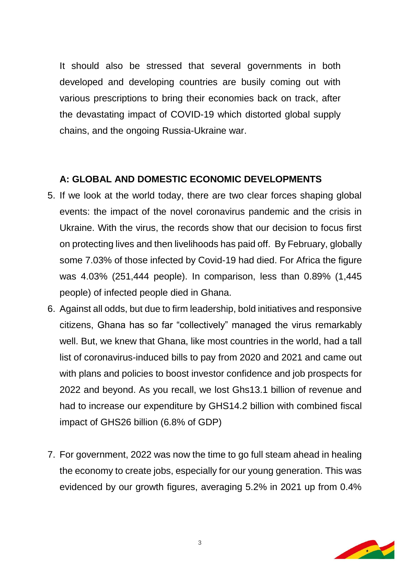It should also be stressed that several governments in both developed and developing countries are busily coming out with various prescriptions to bring their economies back on track, after the devastating impact of COVID-19 which distorted global supply chains, and the ongoing Russia-Ukraine war.

#### **A: GLOBAL AND DOMESTIC ECONOMIC DEVELOPMENTS**

- 5. If we look at the world today, there are two clear forces shaping global events: the impact of the novel coronavirus pandemic and the crisis in Ukraine. With the virus, the records show that our decision to focus first on protecting lives and then livelihoods has paid off. By February, globally some 7.03% of those infected by Covid-19 had died. For Africa the figure was 4.03% (251,444 people). In comparison, less than 0.89% (1,445 people) of infected people died in Ghana.
- 6. Against all odds, but due to firm leadership, bold initiatives and responsive citizens, Ghana has so far "collectively" managed the virus remarkably well. But, we knew that Ghana, like most countries in the world, had a tall list of coronavirus-induced bills to pay from 2020 and 2021 and came out with plans and policies to boost investor confidence and job prospects for 2022 and beyond. As you recall, we lost Ghs13.1 billion of revenue and had to increase our expenditure by GHS14.2 billion with combined fiscal impact of GHS26 billion (6.8% of GDP)
- 7. For government, 2022 was now the time to go full steam ahead in healing the economy to create jobs, especially for our young generation. This was evidenced by our growth figures, averaging 5.2% in 2021 up from 0.4%

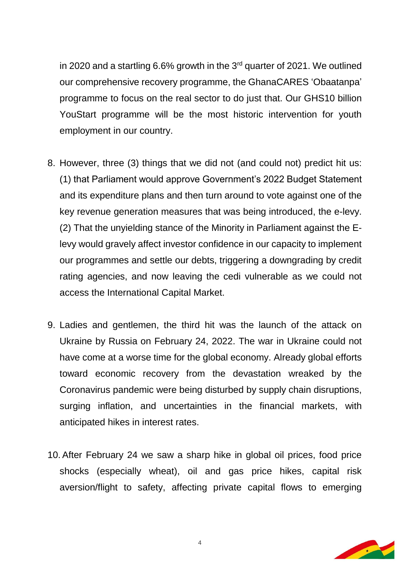in 2020 and a startling  $6.6\%$  growth in the  $3<sup>rd</sup>$  quarter of 2021. We outlined our comprehensive recovery programme, the GhanaCARES 'Obaatanpa' programme to focus on the real sector to do just that. Our GHS10 billion YouStart programme will be the most historic intervention for youth employment in our country.

- 8. However, three (3) things that we did not (and could not) predict hit us: (1) that Parliament would approve Government's 2022 Budget Statement and its expenditure plans and then turn around to vote against one of the key revenue generation measures that was being introduced, the e-levy. (2) That the unyielding stance of the Minority in Parliament against the Elevy would gravely affect investor confidence in our capacity to implement our programmes and settle our debts, triggering a downgrading by credit rating agencies, and now leaving the cedi vulnerable as we could not access the International Capital Market.
- 9. Ladies and gentlemen, the third hit was the launch of the attack on Ukraine by Russia on February 24, 2022. The war in Ukraine could not have come at a worse time for the global economy. Already global efforts toward economic recovery from the devastation wreaked by the Coronavirus pandemic were being disturbed by supply chain disruptions, surging inflation, and uncertainties in the financial markets, with anticipated hikes in interest rates.
- 10.After February 24 we saw a sharp hike in global oil prices, food price shocks (especially wheat), oil and gas price hikes, capital risk aversion/flight to safety, affecting private capital flows to emerging

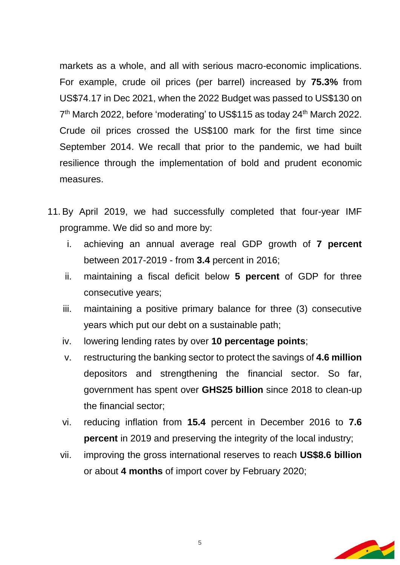markets as a whole, and all with serious macro-economic implications. For example, crude oil prices (per barrel) increased by **75.3%** from US\$74.17 in Dec 2021, when the 2022 Budget was passed to US\$130 on 7<sup>th</sup> March 2022, before 'moderating' to US\$115 as today 24<sup>th</sup> March 2022. Crude oil prices crossed the US\$100 mark for the first time since September 2014. We recall that prior to the pandemic, we had built resilience through the implementation of bold and prudent economic measures.

- 11.By April 2019, we had successfully completed that four-year IMF programme. We did so and more by:
	- i. achieving an annual average real GDP growth of **7 percent** between 2017-2019 - from **3.4** percent in 2016;
	- ii. maintaining a fiscal deficit below **5 percent** of GDP for three consecutive years;
	- iii. maintaining a positive primary balance for three (3) consecutive years which put our debt on a sustainable path;
	- iv. lowering lending rates by over **10 percentage points**;
	- v. restructuring the banking sector to protect the savings of **4.6 million** depositors and strengthening the financial sector. So far, government has spent over **GHS25 billion** since 2018 to clean-up the financial sector;
	- vi. reducing inflation from **15.4** percent in December 2016 to **7.6 percent** in 2019 and preserving the integrity of the local industry;
	- vii. improving the gross international reserves to reach **US\$8.6 billion** or about **4 months** of import cover by February 2020;

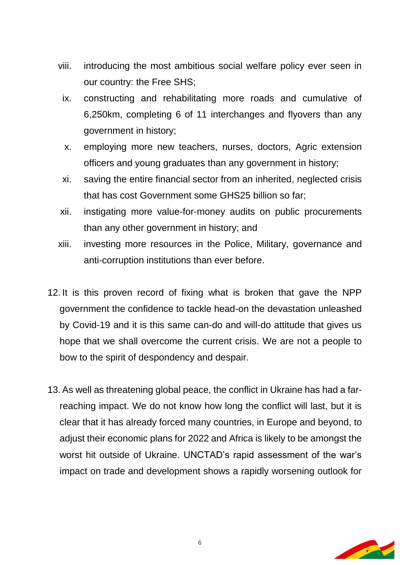- viii. introducing the most ambitious social welfare policy ever seen in our country: the Free SHS;
	- ix. constructing and rehabilitating more roads and cumulative of 6,250km, completing 6 of 11 interchanges and flyovers than any government in history;
	- x. employing more new teachers, nurses, doctors, Agric extension officers and young graduates than any government in history;
	- xi. saving the entire financial sector from an inherited, neglected crisis that has cost Government some GHS25 billion so far;
- xii. instigating more value-for-money audits on public procurements than any other government in history; and
- xiii. investing more resources in the Police, Military, governance and anti-corruption institutions than ever before.
- 12. It is this proven record of fixing what is broken that gave the NPP government the confidence to tackle head-on the devastation unleashed by Covid-19 and it is this same can-do and will-do attitude that gives us hope that we shall overcome the current crisis. We are not a people to bow to the spirit of despondency and despair.
- 13.As well as threatening global peace, the conflict in Ukraine has had a farreaching impact. We do not know how long the conflict will last, but it is clear that it has already forced many countries, in Europe and beyond, to adjust their economic plans for 2022 and Africa is likely to be amongst the worst hit outside of Ukraine. UNCTAD's rapid assessment of the war's impact on trade and development shows a rapidly worsening outlook for

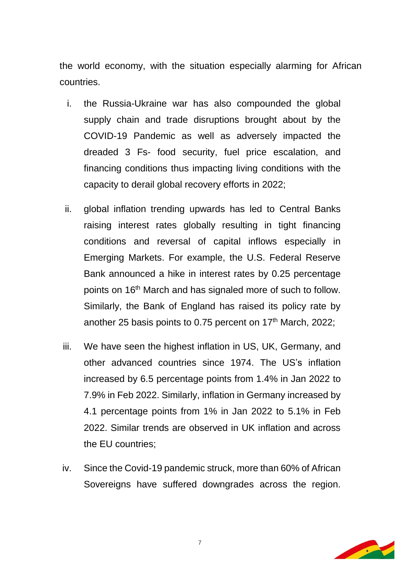the world economy, with the situation especially alarming for African countries.

- i. the Russia-Ukraine war has also compounded the global supply chain and trade disruptions brought about by the COVID-19 Pandemic as well as adversely impacted the dreaded 3 Fs- food security, fuel price escalation, and financing conditions thus impacting living conditions with the capacity to derail global recovery efforts in 2022;
- ii. global inflation trending upwards has led to Central Banks raising interest rates globally resulting in tight financing conditions and reversal of capital inflows especially in Emerging Markets. For example, the U.S. Federal Reserve Bank announced a hike in interest rates by 0.25 percentage points on 16<sup>th</sup> March and has signaled more of such to follow. Similarly, the Bank of England has raised its policy rate by another 25 basis points to 0.75 percent on  $17<sup>th</sup>$  March, 2022;
- iii. We have seen the highest inflation in US, UK, Germany, and other advanced countries since 1974. The US's inflation increased by 6.5 percentage points from 1.4% in Jan 2022 to 7.9% in Feb 2022. Similarly, inflation in Germany increased by 4.1 percentage points from 1% in Jan 2022 to 5.1% in Feb 2022. Similar trends are observed in UK inflation and across the EU countries;
- iv. Since the Covid-19 pandemic struck, more than 60% of African Sovereigns have suffered downgrades across the region.

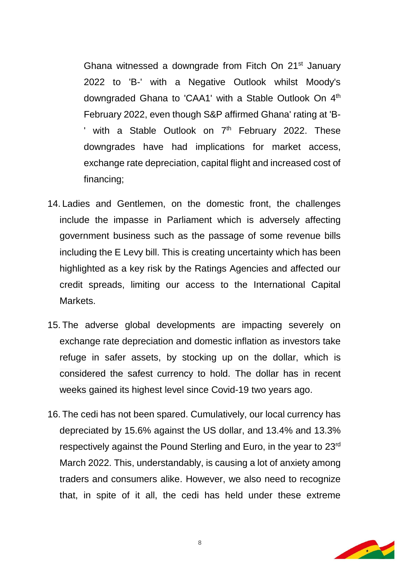Ghana witnessed a downgrade from Fitch On 21<sup>st</sup> January 2022 to 'B-' with a Negative Outlook whilst Moody's downgraded Ghana to 'CAA1' with a Stable Outlook On 4<sup>th</sup> February 2022, even though S&P affirmed Ghana' rating at 'B- ' with a Stable Outlook on 7<sup>th</sup> February 2022. These downgrades have had implications for market access, exchange rate depreciation, capital flight and increased cost of financing;

- 14. Ladies and Gentlemen, on the domestic front, the challenges include the impasse in Parliament which is adversely affecting government business such as the passage of some revenue bills including the E Levy bill. This is creating uncertainty which has been highlighted as a key risk by the Ratings Agencies and affected our credit spreads, limiting our access to the International Capital Markets.
- 15. The adverse global developments are impacting severely on exchange rate depreciation and domestic inflation as investors take refuge in safer assets, by stocking up on the dollar, which is considered the safest currency to hold. The dollar has in recent weeks gained its highest level since Covid-19 two years ago.
- 16. The cedi has not been spared. Cumulatively, our local currency has depreciated by 15.6% against the US dollar, and 13.4% and 13.3% respectively against the Pound Sterling and Euro, in the year to 23rd March 2022. This, understandably, is causing a lot of anxiety among traders and consumers alike. However, we also need to recognize that, in spite of it all, the cedi has held under these extreme

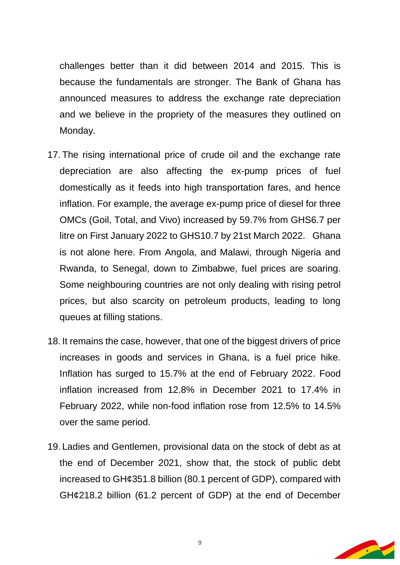challenges better than it did between 2014 and 2015. This is because the fundamentals are stronger. The Bank of Ghana has announced measures to address the exchange rate depreciation and we believe in the propriety of the measures they outlined on Monday.

- 17. The rising international price of crude oil and the exchange rate depreciation are also affecting the ex-pump prices of fuel domestically as it feeds into high transportation fares, and hence inflation. For example, the average ex-pump price of diesel for three OMCs (Goil, Total, and Vivo) increased by 59.7% from GHS6.7 per litre on First January 2022 to GHS10.7 by 21st March 2022. Ghana is not alone here. From Angola, and Malawi, through Nigeria and Rwanda, to Senegal, down to Zimbabwe, fuel prices are soaring. Some neighbouring countries are not only dealing with rising petrol prices, but also scarcity on petroleum products, leading to long queues at filling stations.
- 18. It remains the case, however, that one of the biggest drivers of price increases in goods and services in Ghana, is a fuel price hike. Inflation has surged to 15.7% at the end of February 2022. Food inflation increased from 12.8% in December 2021 to 17.4% in February 2022, while non-food inflation rose from 12.5% to 14.5% over the same period.
- 19. Ladies and Gentlemen, provisional data on the stock of debt as at the end of December 2021, show that, the stock of public debt increased to GH¢351.8 billion (80.1 percent of GDP), compared with GH¢218.2 billion (61.2 percent of GDP) at the end of December

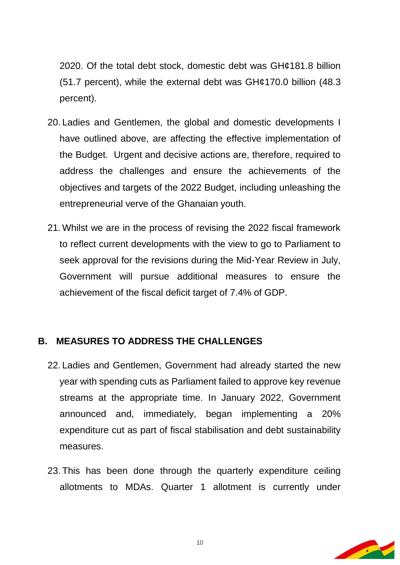2020. Of the total debt stock, domestic debt was GH¢181.8 billion (51.7 percent), while the external debt was GH¢170.0 billion (48.3 percent).

- 20. Ladies and Gentlemen, the global and domestic developments I have outlined above, are affecting the effective implementation of the Budget. Urgent and decisive actions are, therefore, required to address the challenges and ensure the achievements of the objectives and targets of the 2022 Budget, including unleashing the entrepreneurial verve of the Ghanaian youth.
- 21. Whilst we are in the process of revising the 2022 fiscal framework to reflect current developments with the view to go to Parliament to seek approval for the revisions during the Mid-Year Review in July, Government will pursue additional measures to ensure the achievement of the fiscal deficit target of 7.4% of GDP.

## **B. MEASURES TO ADDRESS THE CHALLENGES**

- 22. Ladies and Gentlemen, Government had already started the new year with spending cuts as Parliament failed to approve key revenue streams at the appropriate time. In January 2022, Government announced and, immediately, began implementing a 20% expenditure cut as part of fiscal stabilisation and debt sustainability measures.
- 23. This has been done through the quarterly expenditure ceiling allotments to MDAs. Quarter 1 allotment is currently under

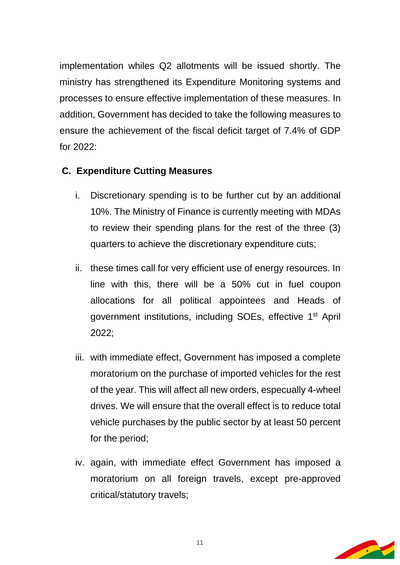implementation whiles Q2 allotments will be issued shortly. The ministry has strengthened its Expenditure Monitoring systems and processes to ensure effective implementation of these measures. In addition, Government has decided to take the following measures to ensure the achievement of the fiscal deficit target of 7.4% of GDP for 2022:

### **C. Expenditure Cutting Measures**

- i. Discretionary spending is to be further cut by an additional 10%. The Ministry of Finance is currently meeting with MDAs to review their spending plans for the rest of the three (3) quarters to achieve the discretionary expenditure cuts;
- ii. these times call for very efficient use of energy resources. In line with this, there will be a 50% cut in fuel coupon allocations for all political appointees and Heads of government institutions, including SOEs, effective 1<sup>st</sup> April 2022;
- iii. with immediate effect, Government has imposed a complete moratorium on the purchase of imported vehicles for the rest of the year. This will affect all new orders, especually 4-wheel drives. We will ensure that the overall effect is to reduce total vehicle purchases by the public sector by at least 50 percent for the period;
- iv. again, with immediate effect Government has imposed a moratorium on all foreign travels, except pre-approved critical/statutory travels;

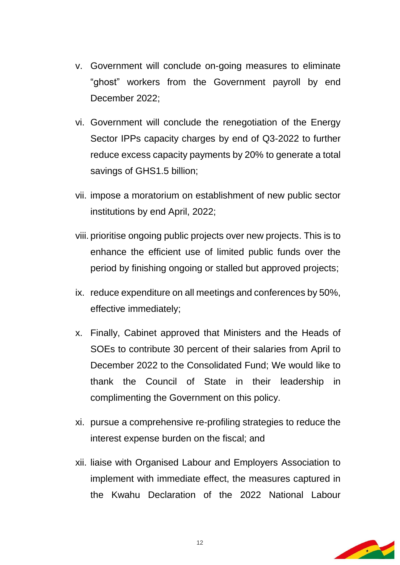- v. Government will conclude on-going measures to eliminate "ghost" workers from the Government payroll by end December 2022;
- vi. Government will conclude the renegotiation of the Energy Sector IPPs capacity charges by end of Q3-2022 to further reduce excess capacity payments by 20% to generate a total savings of GHS1.5 billion;
- vii. impose a moratorium on establishment of new public sector institutions by end April, 2022;
- viii. prioritise ongoing public projects over new projects. This is to enhance the efficient use of limited public funds over the period by finishing ongoing or stalled but approved projects;
- ix. reduce expenditure on all meetings and conferences by 50%, effective immediately;
- x. Finally, Cabinet approved that Ministers and the Heads of SOEs to contribute 30 percent of their salaries from April to December 2022 to the Consolidated Fund; We would like to thank the Council of State in their leadership in complimenting the Government on this policy.
- xi. pursue a comprehensive re-profiling strategies to reduce the interest expense burden on the fiscal; and
- xii. liaise with Organised Labour and Employers Association to implement with immediate effect, the measures captured in the Kwahu Declaration of the 2022 National Labour

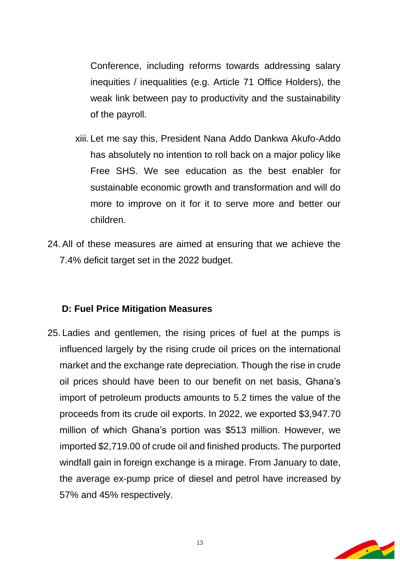Conference, including reforms towards addressing salary inequities / inequalities (e.g. Article 71 Office Holders), the weak link between pay to productivity and the sustainability of the payroll.

- xiii. Let me say this, President Nana Addo Dankwa Akufo-Addo has absolutely no intention to roll back on a major policy like Free SHS. We see education as the best enabler for sustainable economic growth and transformation and will do more to improve on it for it to serve more and better our children.
- 24.All of these measures are aimed at ensuring that we achieve the 7.4% deficit target set in the 2022 budget.

## **D: Fuel Price Mitigation Measures**

25. Ladies and gentlemen, the rising prices of fuel at the pumps is influenced largely by the rising crude oil prices on the international market and the exchange rate depreciation. Though the rise in crude oil prices should have been to our benefit on net basis, Ghana's import of petroleum products amounts to 5.2 times the value of the proceeds from its crude oil exports. In 2022, we exported \$3,947.70 million of which Ghana's portion was \$513 million. However, we imported \$2,719.00 of crude oil and finished products. The purported windfall gain in foreign exchange is a mirage. From January to date, the average ex-pump price of diesel and petrol have increased by 57% and 45% respectively.

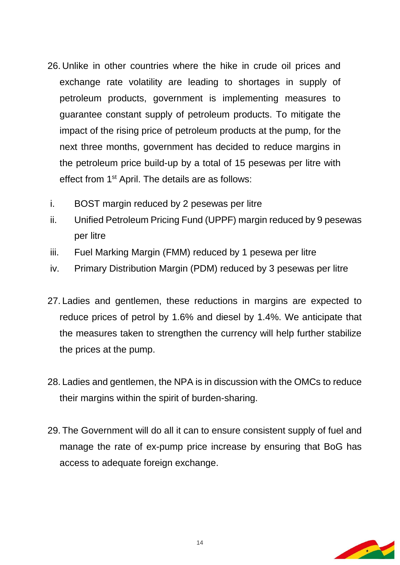- 26. Unlike in other countries where the hike in crude oil prices and exchange rate volatility are leading to shortages in supply of petroleum products, government is implementing measures to guarantee constant supply of petroleum products. To mitigate the impact of the rising price of petroleum products at the pump, for the next three months, government has decided to reduce margins in the petroleum price build-up by a total of 15 pesewas per litre with effect from 1<sup>st</sup> April. The details are as follows:
- i. BOST margin reduced by 2 pesewas per litre
- ii. Unified Petroleum Pricing Fund (UPPF) margin reduced by 9 pesewas per litre
- iii. Fuel Marking Margin (FMM) reduced by 1 pesewa per litre
- iv. Primary Distribution Margin (PDM) reduced by 3 pesewas per litre
- 27. Ladies and gentlemen, these reductions in margins are expected to reduce prices of petrol by 1.6% and diesel by 1.4%. We anticipate that the measures taken to strengthen the currency will help further stabilize the prices at the pump.
- 28. Ladies and gentlemen, the NPA is in discussion with the OMCs to reduce their margins within the spirit of burden-sharing.
- 29. The Government will do all it can to ensure consistent supply of fuel and manage the rate of ex-pump price increase by ensuring that BoG has access to adequate foreign exchange.

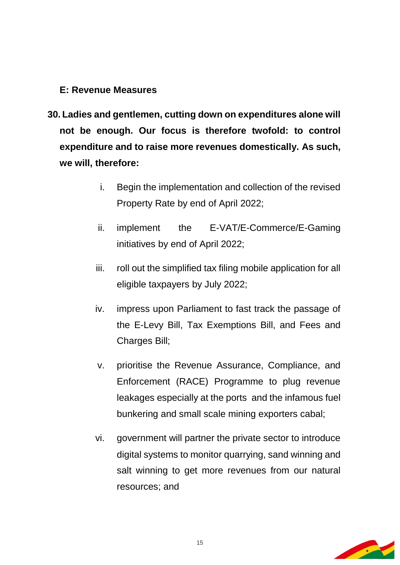#### **E: Revenue Measures**

- **30. Ladies and gentlemen, cutting down on expenditures alone will not be enough. Our focus is therefore twofold: to control expenditure and to raise more revenues domestically. As such, we will, therefore:**
	- i. Begin the implementation and collection of the revised Property Rate by end of April 2022;
	- ii. implement the E-VAT/E-Commerce/E-Gaming initiatives by end of April 2022;
	- iii. roll out the simplified tax filing mobile application for all eligible taxpayers by July 2022;
	- iv. impress upon Parliament to fast track the passage of the E-Levy Bill, Tax Exemptions Bill, and Fees and Charges Bill;
	- v. prioritise the Revenue Assurance, Compliance, and Enforcement (RACE) Programme to plug revenue leakages especially at the ports and the infamous fuel bunkering and small scale mining exporters cabal;
	- vi. government will partner the private sector to introduce digital systems to monitor quarrying, sand winning and salt winning to get more revenues from our natural resources; and

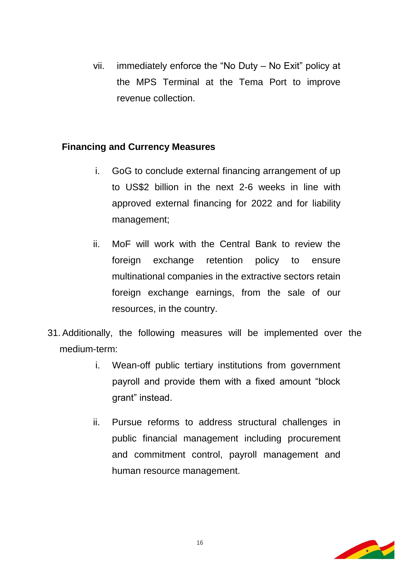vii. immediately enforce the "No Duty – No Exit" policy at the MPS Terminal at the Tema Port to improve revenue collection.

#### **Financing and Currency Measures**

- i. GoG to conclude external financing arrangement of up to US\$2 billion in the next 2-6 weeks in line with approved external financing for 2022 and for liability management;
- ii. MoF will work with the Central Bank to review the foreign exchange retention policy to ensure multinational companies in the extractive sectors retain foreign exchange earnings, from the sale of our resources, in the country.
- 31.Additionally, the following measures will be implemented over the medium-term:
	- i. Wean-off public tertiary institutions from government payroll and provide them with a fixed amount "block grant" instead.
	- ii. Pursue reforms to address structural challenges in public financial management including procurement and commitment control, payroll management and human resource management.

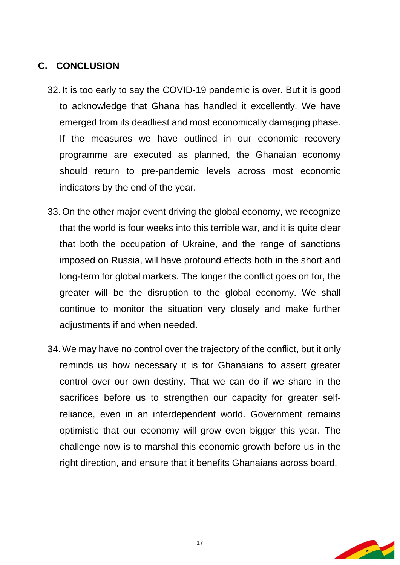### **C. CONCLUSION**

- 32. It is too early to say the COVID-19 pandemic is over. But it is good to acknowledge that Ghana has handled it excellently. We have emerged from its deadliest and most economically damaging phase. If the measures we have outlined in our economic recovery programme are executed as planned, the Ghanaian economy should return to pre-pandemic levels across most economic indicators by the end of the year.
- 33. On the other major event driving the global economy, we recognize that the world is four weeks into this terrible war, and it is quite clear that both the occupation of Ukraine, and the range of sanctions imposed on Russia, will have profound effects both in the short and long-term for global markets. The longer the conflict goes on for, the greater will be the disruption to the global economy. We shall continue to monitor the situation very closely and make further adjustments if and when needed.
- 34. We may have no control over the trajectory of the conflict, but it only reminds us how necessary it is for Ghanaians to assert greater control over our own destiny. That we can do if we share in the sacrifices before us to strengthen our capacity for greater selfreliance, even in an interdependent world. Government remains optimistic that our economy will grow even bigger this year. The challenge now is to marshal this economic growth before us in the right direction, and ensure that it benefits Ghanaians across board.

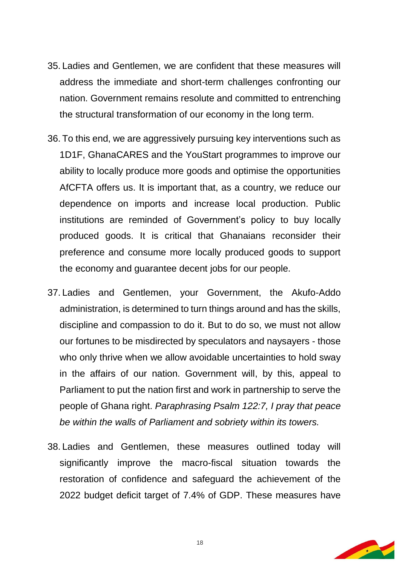- 35. Ladies and Gentlemen, we are confident that these measures will address the immediate and short-term challenges confronting our nation. Government remains resolute and committed to entrenching the structural transformation of our economy in the long term.
- 36. To this end, we are aggressively pursuing key interventions such as 1D1F, GhanaCARES and the YouStart programmes to improve our ability to locally produce more goods and optimise the opportunities AfCFTA offers us. It is important that, as a country, we reduce our dependence on imports and increase local production. Public institutions are reminded of Government's policy to buy locally produced goods. It is critical that Ghanaians reconsider their preference and consume more locally produced goods to support the economy and guarantee decent jobs for our people.
- 37. Ladies and Gentlemen, your Government, the Akufo-Addo administration, is determined to turn things around and has the skills, discipline and compassion to do it. But to do so, we must not allow our fortunes to be misdirected by speculators and naysayers - those who only thrive when we allow avoidable uncertainties to hold sway in the affairs of our nation. Government will, by this, appeal to Parliament to put the nation first and work in partnership to serve the people of Ghana right. *Paraphrasing Psalm 122:7, I pray that peace be within the walls of Parliament and sobriety within its towers.*
- 38. Ladies and Gentlemen, these measures outlined today will significantly improve the macro-fiscal situation towards the restoration of confidence and safeguard the achievement of the 2022 budget deficit target of 7.4% of GDP. These measures have

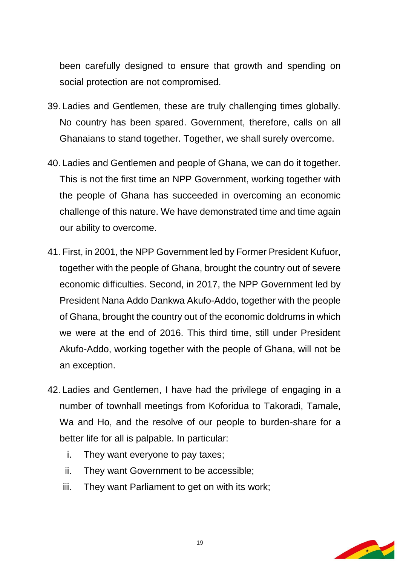been carefully designed to ensure that growth and spending on social protection are not compromised.

- 39. Ladies and Gentlemen, these are truly challenging times globally. No country has been spared. Government, therefore, calls on all Ghanaians to stand together. Together, we shall surely overcome.
- 40. Ladies and Gentlemen and people of Ghana, we can do it together. This is not the first time an NPP Government, working together with the people of Ghana has succeeded in overcoming an economic challenge of this nature. We have demonstrated time and time again our ability to overcome.
- 41. First, in 2001, the NPP Government led by Former President Kufuor, together with the people of Ghana, brought the country out of severe economic difficulties. Second, in 2017, the NPP Government led by President Nana Addo Dankwa Akufo-Addo, together with the people of Ghana, brought the country out of the economic doldrums in which we were at the end of 2016. This third time, still under President Akufo-Addo, working together with the people of Ghana, will not be an exception.
- 42. Ladies and Gentlemen, I have had the privilege of engaging in a number of townhall meetings from Koforidua to Takoradi, Tamale, Wa and Ho, and the resolve of our people to burden-share for a better life for all is palpable. In particular:
	- i. They want everyone to pay taxes;
	- ii. They want Government to be accessible;
	- iii. They want Parliament to get on with its work;